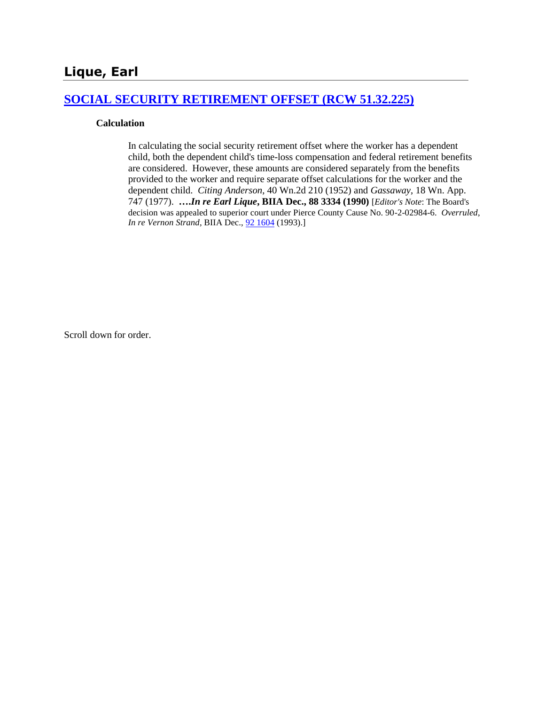## **[SOCIAL SECURITY RETIREMENT OFFSET \(RCW 51.32.225\)](http://www.biia.wa.gov/SDSubjectIndex.html#SOCIAL_SECURITY_DISABILITY_OFFSET)**

#### **Calculation**

In calculating the social security retirement offset where the worker has a dependent child, both the dependent child's time-loss compensation and federal retirement benefits are considered. However, these amounts are considered separately from the benefits provided to the worker and require separate offset calculations for the worker and the dependent child. *Citing Anderson*, 40 Wn.2d 210 (1952) and *Gassaway*, 18 Wn. App. 747 (1977). **….***In re Earl Lique***, BIIA Dec., 88 3334 (1990)** [*Editor's Note*: The Board's decision was appealed to superior court under Pierce County Cause No. 90-2-02984-6. *Overruled*, *In re Vernon Strand*, BIIA Dec.,  $\frac{92\,1604}{1993}$ .]

Scroll down for order.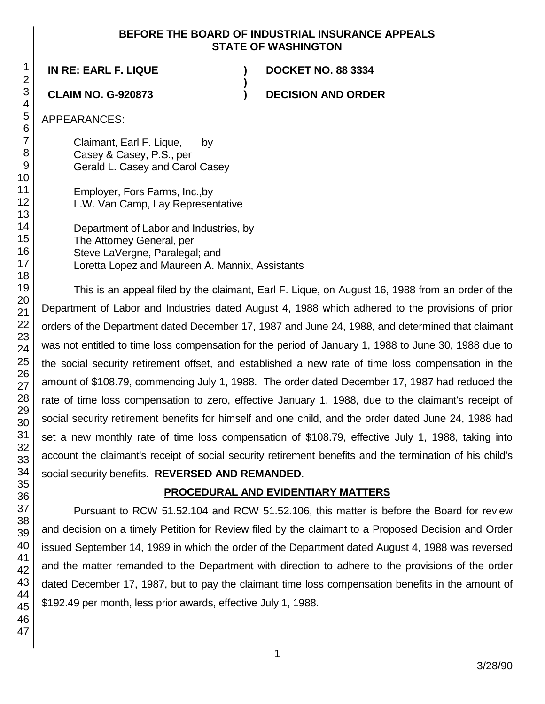#### **BEFORE THE BOARD OF INDUSTRIAL INSURANCE APPEALS STATE OF WASHINGTON**

**)**

**IN RE: EARL F. LIQUE ) DOCKET NO. 88 3334**

**CLAIM NO. G-920873 ) DECISION AND ORDER**

APPEARANCES:

Claimant, Earl F. Lique, by Casey & Casey, P.S., per Gerald L. Casey and Carol Casey

Employer, Fors Farms, Inc.,by L.W. Van Camp, Lay Representative

Department of Labor and Industries, by The Attorney General, per Steve LaVergne, Paralegal; and Loretta Lopez and Maureen A. Mannix, Assistants

This is an appeal filed by the claimant, Earl F. Lique, on August 16, 1988 from an order of the Department of Labor and Industries dated August 4, 1988 which adhered to the provisions of prior orders of the Department dated December 17, 1987 and June 24, 1988, and determined that claimant was not entitled to time loss compensation for the period of January 1, 1988 to June 30, 1988 due to the social security retirement offset, and established a new rate of time loss compensation in the amount of \$108.79, commencing July 1, 1988. The order dated December 17, 1987 had reduced the rate of time loss compensation to zero, effective January 1, 1988, due to the claimant's receipt of social security retirement benefits for himself and one child, and the order dated June 24, 1988 had set a new monthly rate of time loss compensation of \$108.79, effective July 1, 1988, taking into account the claimant's receipt of social security retirement benefits and the termination of his child's social security benefits. **REVERSED AND REMANDED**.

# **PROCEDURAL AND EVIDENTIARY MATTERS**

Pursuant to RCW 51.52.104 and RCW 51.52.106, this matter is before the Board for review and decision on a timely Petition for Review filed by the claimant to a Proposed Decision and Order issued September 14, 1989 in which the order of the Department dated August 4, 1988 was reversed and the matter remanded to the Department with direction to adhere to the provisions of the order dated December 17, 1987, but to pay the claimant time loss compensation benefits in the amount of \$192.49 per month, less prior awards, effective July 1, 1988.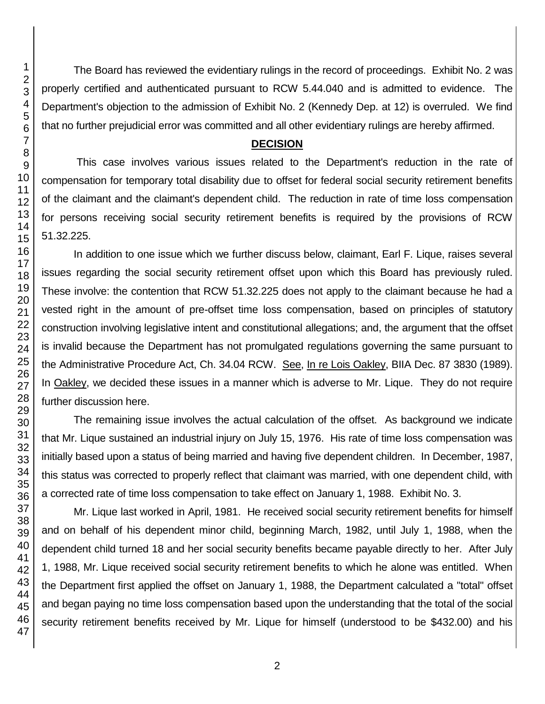The Board has reviewed the evidentiary rulings in the record of proceedings. Exhibit No. 2 was properly certified and authenticated pursuant to RCW 5.44.040 and is admitted to evidence. The Department's objection to the admission of Exhibit No. 2 (Kennedy Dep. at 12) is overruled. We find that no further prejudicial error was committed and all other evidentiary rulings are hereby affirmed.

## **DECISION**

This case involves various issues related to the Department's reduction in the rate of compensation for temporary total disability due to offset for federal social security retirement benefits of the claimant and the claimant's dependent child. The reduction in rate of time loss compensation for persons receiving social security retirement benefits is required by the provisions of RCW 51.32.225.

In addition to one issue which we further discuss below, claimant, Earl F. Lique, raises several issues regarding the social security retirement offset upon which this Board has previously ruled. These involve: the contention that RCW 51.32.225 does not apply to the claimant because he had a vested right in the amount of pre-offset time loss compensation, based on principles of statutory construction involving legislative intent and constitutional allegations; and, the argument that the offset is invalid because the Department has not promulgated regulations governing the same pursuant to the Administrative Procedure Act, Ch. 34.04 RCW. See, In re Lois Oakley, BIIA Dec. 87 3830 (1989). In Oakley, we decided these issues in a manner which is adverse to Mr. Lique. They do not require further discussion here.

The remaining issue involves the actual calculation of the offset. As background we indicate that Mr. Lique sustained an industrial injury on July 15, 1976. His rate of time loss compensation was initially based upon a status of being married and having five dependent children. In December, 1987, this status was corrected to properly reflect that claimant was married, with one dependent child, with a corrected rate of time loss compensation to take effect on January 1, 1988. Exhibit No. 3.

Mr. Lique last worked in April, 1981. He received social security retirement benefits for himself and on behalf of his dependent minor child, beginning March, 1982, until July 1, 1988, when the dependent child turned 18 and her social security benefits became payable directly to her. After July 1, 1988, Mr. Lique received social security retirement benefits to which he alone was entitled. When the Department first applied the offset on January 1, 1988, the Department calculated a "total" offset and began paying no time loss compensation based upon the understanding that the total of the social security retirement benefits received by Mr. Lique for himself (understood to be \$432.00) and his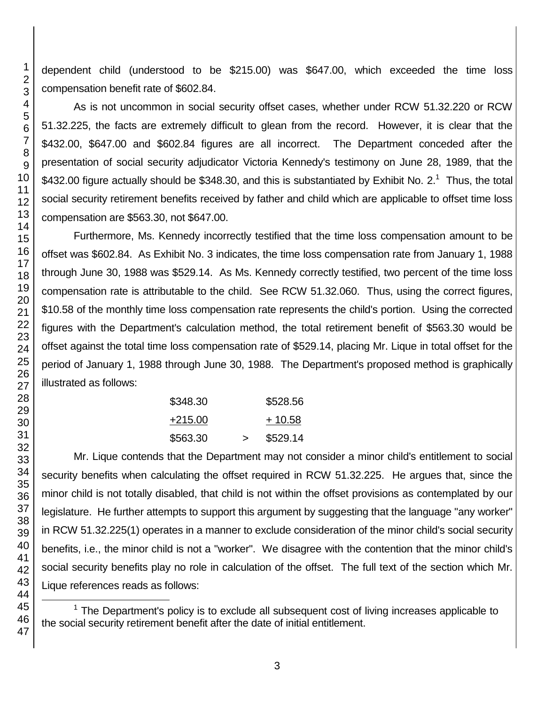dependent child (understood to be \$215.00) was \$647.00, which exceeded the time loss compensation benefit rate of \$602.84.

As is not uncommon in social security offset cases, whether under RCW 51.32.220 or RCW 51.32.225, the facts are extremely difficult to glean from the record. However, it is clear that the \$432.00, \$647.00 and \$602.84 figures are all incorrect. The Department conceded after the presentation of social security adjudicator Victoria Kennedy's testimony on June 28, 1989, that the \$432.00 figure actually should be \$348.30, and this is substantiated by Exhibit No. 2.<sup>1</sup> Thus, the total social security retirement benefits received by father and child which are applicable to offset time loss compensation are \$563.30, not \$647.00.

Furthermore, Ms. Kennedy incorrectly testified that the time loss compensation amount to be offset was \$602.84. As Exhibit No. 3 indicates, the time loss compensation rate from January 1, 1988 through June 30, 1988 was \$529.14. As Ms. Kennedy correctly testified, two percent of the time loss compensation rate is attributable to the child. See RCW 51.32.060. Thus, using the correct figures, \$10.58 of the monthly time loss compensation rate represents the child's portion. Using the corrected figures with the Department's calculation method, the total retirement benefit of \$563.30 would be offset against the total time loss compensation rate of \$529.14, placing Mr. Lique in total offset for the period of January 1, 1988 through June 30, 1988. The Department's proposed method is graphically illustrated as follows:

| \$348.30 |        | \$528.56 |
|----------|--------|----------|
| +215.00  |        | $+10.58$ |
| \$563.30 | $\geq$ | \$529.14 |

Mr. Lique contends that the Department may not consider a minor child's entitlement to social security benefits when calculating the offset required in RCW 51.32.225. He argues that, since the minor child is not totally disabled, that child is not within the offset provisions as contemplated by our legislature. He further attempts to support this argument by suggesting that the language "any worker" in RCW 51.32.225(1) operates in a manner to exclude consideration of the minor child's social security benefits, i.e., the minor child is not a "worker". We disagree with the contention that the minor child's social security benefits play no role in calculation of the offset. The full text of the section which Mr. Lique references reads as follows:

 The Department's policy is to exclude all subsequent cost of living increases applicable to the social security retirement benefit after the date of initial entitlement.

l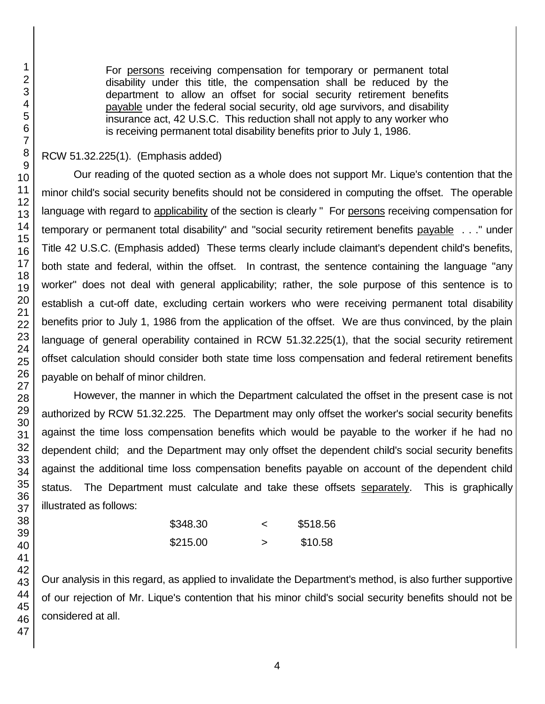For persons receiving compensation for temporary or permanent total disability under this title, the compensation shall be reduced by the department to allow an offset for social security retirement benefits payable under the federal social security, old age survivors, and disability insurance act, 42 U.S.C. This reduction shall not apply to any worker who is receiving permanent total disability benefits prior to July 1, 1986.

## RCW 51.32.225(1). (Emphasis added)

Our reading of the quoted section as a whole does not support Mr. Lique's contention that the minor child's social security benefits should not be considered in computing the offset. The operable language with regard to applicability of the section is clearly " For persons receiving compensation for temporary or permanent total disability" and "social security retirement benefits payable . . ." under Title 42 U.S.C. (Emphasis added) These terms clearly include claimant's dependent child's benefits, both state and federal, within the offset. In contrast, the sentence containing the language "any worker" does not deal with general applicability; rather, the sole purpose of this sentence is to establish a cut-off date, excluding certain workers who were receiving permanent total disability benefits prior to July 1, 1986 from the application of the offset. We are thus convinced, by the plain language of general operability contained in RCW 51.32.225(1), that the social security retirement offset calculation should consider both state time loss compensation and federal retirement benefits payable on behalf of minor children.

However, the manner in which the Department calculated the offset in the present case is not authorized by RCW 51.32.225. The Department may only offset the worker's social security benefits against the time loss compensation benefits which would be payable to the worker if he had no dependent child; and the Department may only offset the dependent child's social security benefits against the additional time loss compensation benefits payable on account of the dependent child status. The Department must calculate and take these offsets separately. This is graphically illustrated as follows:

| \$348.30 |   | \$518.56 |
|----------|---|----------|
| \$215.00 | > | \$10.58  |

Our analysis in this regard, as applied to invalidate the Department's method, is also further supportive of our rejection of Mr. Lique's contention that his minor child's social security benefits should not be considered at all.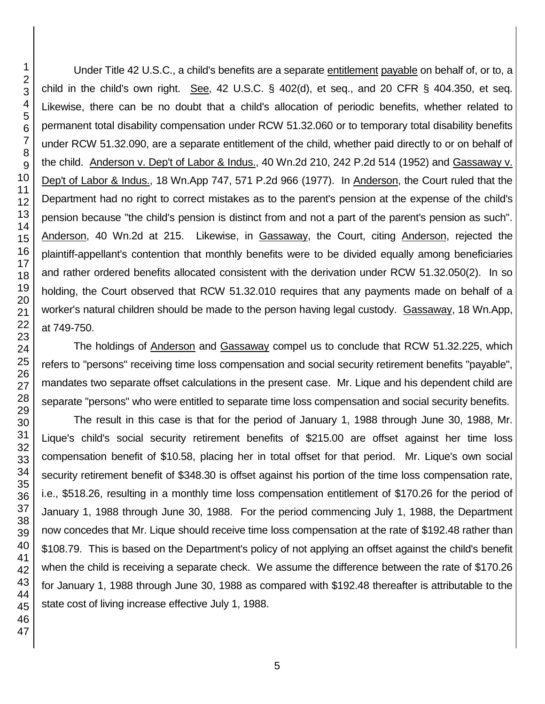Under Title 42 U.S.C., a child's benefits are a separate entitlement payable on behalf of, or to, a child in the child's own right. See, 42 U.S.C.  $\S$  402(d), et seq., and 20 CFR  $\S$  404.350, et seq. Likewise, there can be no doubt that a child's allocation of periodic benefits, whether related to permanent total disability compensation under RCW 51.32.060 or to temporary total disability benefits under RCW 51.32.090, are a separate entitlement of the child, whether paid directly to or on behalf of the child. Anderson v. Dep't of Labor & Indus., 40 Wn.2d 210, 242 P.2d 514 (1952) and Gassaway v. Dep't of Labor & Indus., 18 Wn.App 747, 571 P.2d 966 (1977). In Anderson, the Court ruled that the Department had no right to correct mistakes as to the parent's pension at the expense of the child's pension because "the child's pension is distinct from and not a part of the parent's pension as such". Anderson, 40 Wn.2d at 215. Likewise, in Gassaway, the Court, citing Anderson, rejected the plaintiff-appellant's contention that monthly benefits were to be divided equally among beneficiaries and rather ordered benefits allocated consistent with the derivation under RCW 51.32.050(2). In so holding, the Court observed that RCW 51.32.010 requires that any payments made on behalf of a worker's natural children should be made to the person having legal custody. Gassaway, 18 Wn.App, at 749-750.

The holdings of Anderson and Gassaway compel us to conclude that RCW 51.32.225, which refers to "persons" receiving time loss compensation and social security retirement benefits "payable", mandates two separate offset calculations in the present case. Mr. Lique and his dependent child are separate "persons" who were entitled to separate time loss compensation and social security benefits.

The result in this case is that for the period of January 1, 1988 through June 30, 1988, Mr. Lique's child's social security retirement benefits of \$215.00 are offset against her time loss compensation benefit of \$10.58, placing her in total offset for that period. Mr. Lique's own social security retirement benefit of \$348.30 is offset against his portion of the time loss compensation rate, i.e., \$518.26, resulting in a monthly time loss compensation entitlement of \$170.26 for the period of January 1, 1988 through June 30, 1988. For the period commencing July 1, 1988, the Department now concedes that Mr. Lique should receive time loss compensation at the rate of \$192.48 rather than \$108.79. This is based on the Department's policy of not applying an offset against the child's benefit when the child is receiving a separate check. We assume the difference between the rate of \$170.26 for January 1, 1988 through June 30, 1988 as compared with \$192.48 thereafter is attributable to the state cost of living increase effective July 1, 1988.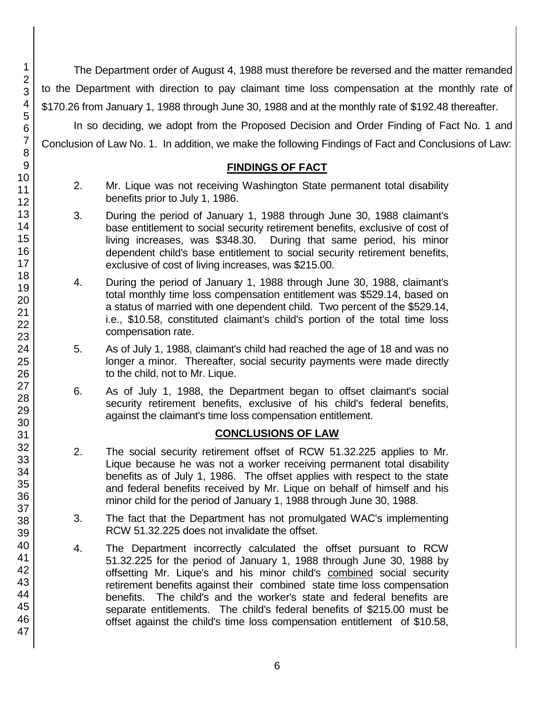The Department order of August 4, 1988 must therefore be reversed and the matter remanded to the Department with direction to pay claimant time loss compensation at the monthly rate of \$170.26 from January 1, 1988 through June 30, 1988 and at the monthly rate of \$192.48 thereafter.

In so deciding, we adopt from the Proposed Decision and Order Finding of Fact No. 1 and Conclusion of Law No. 1. In addition, we make the following Findings of Fact and Conclusions of Law:

## **FINDINGS OF FACT**

- 2. Mr. Lique was not receiving Washington State permanent total disability benefits prior to July 1, 1986.
- 3. During the period of January 1, 1988 through June 30, 1988 claimant's base entitlement to social security retirement benefits, exclusive of cost of living increases, was \$348.30. During that same period, his minor dependent child's base entitlement to social security retirement benefits, exclusive of cost of living increases, was \$215.00.
- 4. During the period of January 1, 1988 through June 30, 1988, claimant's total monthly time loss compensation entitlement was \$529.14, based on a status of married with one dependent child. Two percent of the \$529.14, i.e., \$10.58, constituted claimant's child's portion of the total time loss compensation rate.
- 5. As of July 1, 1988, claimant's child had reached the age of 18 and was no longer a minor. Thereafter, social security payments were made directly to the child, not to Mr. Lique.
- 6. As of July 1, 1988, the Department began to offset claimant's social security retirement benefits, exclusive of his child's federal benefits, against the claimant's time loss compensation entitlement.

## **CONCLUSIONS OF LAW**

- 2. The social security retirement offset of RCW 51.32.225 applies to Mr. Lique because he was not a worker receiving permanent total disability benefits as of July 1, 1986. The offset applies with respect to the state and federal benefits received by Mr. Lique on behalf of himself and his minor child for the period of January 1, 1988 through June 30, 1988.
- 3. The fact that the Department has not promulgated WAC's implementing RCW 51.32.225 does not invalidate the offset.
- 4. The Department incorrectly calculated the offset pursuant to RCW 51.32.225 for the period of January 1, 1988 through June 30, 1988 by offsetting Mr. Lique's and his minor child's combined social security retirement benefits against their combined state time loss compensation benefits. The child's and the worker's state and federal benefits are separate entitlements. The child's federal benefits of \$215.00 must be offset against the child's time loss compensation entitlement of \$10.58,

1